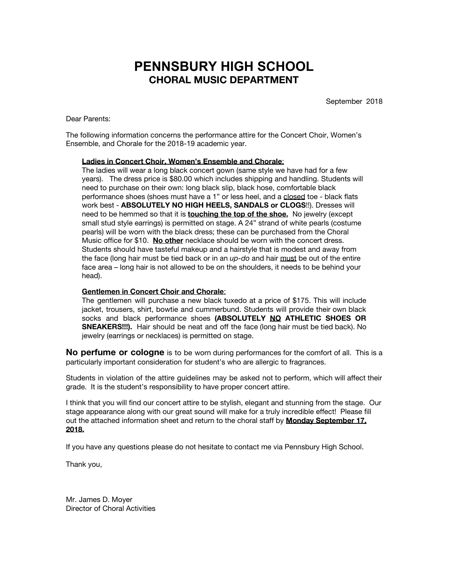## **PENNSBURY HIGH SCHOOL CHORAL MUSIC DEPARTMENT**

September 2018

Dear Parents:

The following information concerns the performance attire for the Concert Choir, Women's Ensemble, and Chorale for the 2018-19 academic year.

## **Ladies in Concert Choir, Women's Ensemble and Chorale**:

The ladies will wear a long black concert gown (same style we have had for a few years). The dress price is \$80.00 which includes shipping and handling. Students will need to purchase on their own: long black slip, black hose, comfortable black performance shoes (shoes must have a 1" or less heel, and a closed toe - black flats work best - **ABSOLUTELY NO HIGH HEELS, SANDALS or CLOGS**!!). Dresses will need to be hemmed so that it is **touching the top of the shoe.** No jewelry (except small stud style earrings) is permitted on stage. A 24" strand of white pearls (costume pearls) will be worn with the black dress; these can be purchased from the Choral Music office for \$10. **No other** necklace should be worn with the concert dress. Students should have tasteful makeup and a hairstyle that is modest and away from the face (long hair must be tied back or in an *up-do* and hair must be out of the entire face area – long hair is not allowed to be on the shoulders, it needs to be behind your head).

## **Gentlemen in Concert Choir and Chorale**:

The gentlemen will purchase a new black tuxedo at a price of \$175. This will include jacket, trousers, shirt, bowtie and cummerbund. Students will provide their own black socks and black performance shoes **(ABSOLUTELY NO ATHLETIC SHOES OR SNEAKERS!!!).** Hair should be neat and off the face (long hair must be tied back). No jewelry (earrings or necklaces) is permitted on stage.

**No perfume or cologne** is to be worn during performances for the comfort of all. This is a particularly important consideration for student's who are allergic to fragrances.

Students in violation of the attire guidelines may be asked not to perform, which will affect their grade. It is the student's responsibility to have proper concert attire.

I think that you will find our concert attire to be stylish, elegant and stunning from the stage. Our stage appearance along with our great sound will make for a truly incredible effect! Please fill out the attached information sheet and return to the choral staff by **Monday September 17, 2018.**

If you have any questions please do not hesitate to contact me via Pennsbury High School.

Thank you,

Mr. James D. Moyer Director of Choral Activities